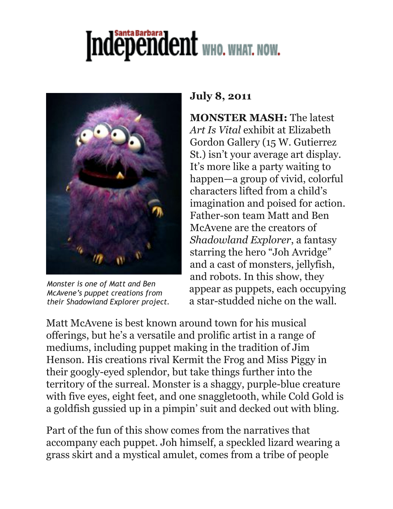## Independent WHO. WHAT. NOW.



*Monster is one of Matt and Ben McAvene's puppet creations from their Shadowland Explorer project.*

## **July 8, 2011**

**MONSTER MASH:** The latest *Art Is Vital* exhibit at Elizabeth Gordon Gallery (15 W. Gutierrez St.) isn't your average art display. It's more like a party waiting to happen—a group of vivid, colorful characters lifted from a child's imagination and poised for action. Father-son team Matt and Ben McAvene are the creators of *Shadowland Explorer*, a fantasy starring the hero "Joh Avridge" and a cast of monsters, jellyfish, and robots. In this show, they appear as puppets, each occupying a star-studded niche on the wall.

Matt McAvene is best known around town for his musical offerings, but he's a versatile and prolific artist in a range of mediums, including puppet making in the tradition of Jim Henson. His creations rival Kermit the Frog and Miss Piggy in their googly-eyed splendor, but take things further into the territory of the surreal. Monster is a shaggy, purple-blue creature with five eyes, eight feet, and one snaggletooth, while Cold Gold is a goldfish gussied up in a pimpin' suit and decked out with bling.

Part of the fun of this show comes from the narratives that accompany each puppet. Joh himself, a speckled lizard wearing a grass skirt and a mystical amulet, comes from a tribe of people